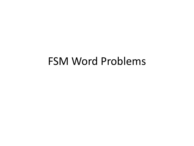## FSM Word Problems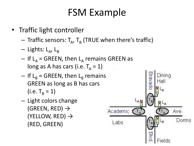## FSM Example

- Traffic light controller
	- $-$  Traffic sensors:  $T_{\rm A}$ ,  $T_{\rm B}$  (TRUE when there's traffic)
	- Lights: L<sub>A</sub>, L<sub>B</sub>
	- $-$  If L<sub>A</sub> = GREEN, then L<sub>A</sub> remains GREEN as long as A has cars (i.e.  $T_A = 1$ )
	- $-$  If L<sub>B</sub> = GREEN, then L<sub>B</sub> remains GREEN as long as B has cars (i.e.  $T_B = 1$ )
	- Light colors change (GREEN, RED)  $\rightarrow$ (YELLOW, RED)  $\rightarrow$ (RED, GREEN)

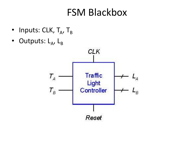### FSM Blackbox

- Inputs:  $CLK$ ,  $T_A$ ,  $T_B$
- Outputs: L<sub>A</sub>, L<sub>B</sub>

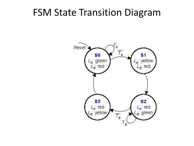#### FSM State Transition Diagram

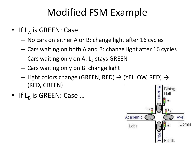# Modified FSM Example

- If L<sub>A</sub> is GREEN: Case
	- No cars on either A or B: change light after 16 cycles
	- Cars waiting on both A and B: change light after 16 cycles
	- Cars waiting only on A: L<sub>A</sub> stays GREEN
	- Cars waiting only on B: change light
	- $-$  Light colors change (GREEN, RED)  $\rightarrow$  (YELLOW, RED)  $\rightarrow$ (RED, GREEN)
- If  $L_B$  is GREEN: Case ...

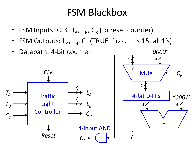### FSM Blackbox

- FSM Inputs: CLK,  $T_A$ ,  $T_B$ ,  $C_R$  (to reset counter)
- FSM Outputs:  $L_A$ ,  $L_B$ ,  $C_T$  (TRUE if count is 15, all 1's)

*"0000"*



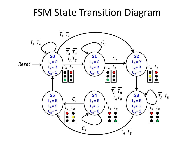#### FSM State Transition Diagram

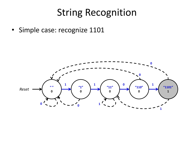• Simple case: recognize 1101

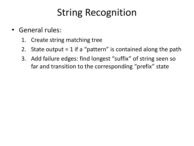- General rules:
	- 1. Create string matching tree
	- 2. State output =  $1$  if a "pattern" is contained along the path
	- 3. Add failure edges: find longest "suffix" of string seen so far and transition to the corresponding "prefix" state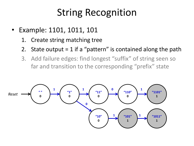- Example: 1101, 1011, 101
	- 1. Create string matching tree
	- 2. State output  $= 1$  if a "pattern" is contained along the path
	- 3. Add failure edges: find longest "suffix" of string seen so far and transition to the corresponding "prefix" state

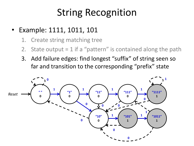- Example: 1111, 1011, 101
	- 1. Create string matching tree
	- 2. State output  $= 1$  if a "pattern" is contained along the path
	- 3. Add failure edges: find longest "suffix" of string seen so far and transition to the corresponding "prefix" state